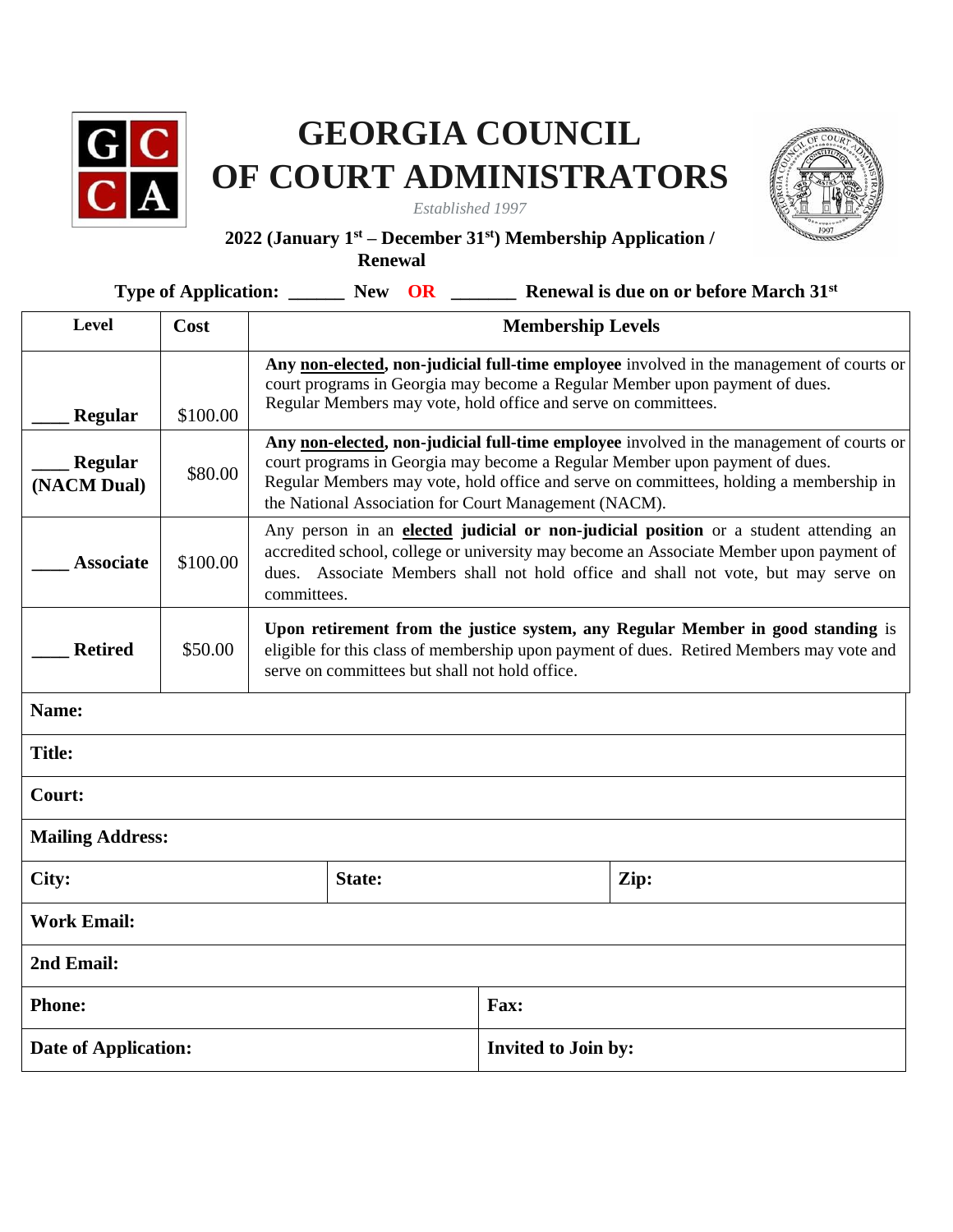

## **GEORGIA COUNCIL OF COURT ADMINISTRATORS**

*Established 1997* 



## **2022 (January 1st – December 31st) Membership Application /**

**Renewal**

| Type of Application: ________ New OR |          |                                                                                                                                                                                                                                                                                                                            |        |                            |  | Renewal is due on or before March 31 <sup>st</sup> |  |
|--------------------------------------|----------|----------------------------------------------------------------------------------------------------------------------------------------------------------------------------------------------------------------------------------------------------------------------------------------------------------------------------|--------|----------------------------|--|----------------------------------------------------|--|
| Level                                | Cost     | <b>Membership Levels</b>                                                                                                                                                                                                                                                                                                   |        |                            |  |                                                    |  |
| Regular                              | \$100.00 | Any non-elected, non-judicial full-time employee involved in the management of courts or<br>court programs in Georgia may become a Regular Member upon payment of dues.<br>Regular Members may vote, hold office and serve on committees.                                                                                  |        |                            |  |                                                    |  |
| <b>Regular</b><br>(NACM Dual)        | \$80.00  | Any non-elected, non-judicial full-time employee involved in the management of courts or<br>court programs in Georgia may become a Regular Member upon payment of dues.<br>Regular Members may vote, hold office and serve on committees, holding a membership in<br>the National Association for Court Management (NACM). |        |                            |  |                                                    |  |
| <b>Associate</b>                     | \$100.00 | Any person in an elected judicial or non-judicial position or a student attending an<br>accredited school, college or university may become an Associate Member upon payment of<br>dues. Associate Members shall not hold office and shall not vote, but may serve on<br>committees.                                       |        |                            |  |                                                    |  |
| <b>Retired</b>                       | \$50.00  | Upon retirement from the justice system, any Regular Member in good standing is<br>eligible for this class of membership upon payment of dues. Retired Members may vote and<br>serve on committees but shall not hold office.                                                                                              |        |                            |  |                                                    |  |
| Name:                                |          |                                                                                                                                                                                                                                                                                                                            |        |                            |  |                                                    |  |
| <b>Title:</b>                        |          |                                                                                                                                                                                                                                                                                                                            |        |                            |  |                                                    |  |
| Court:                               |          |                                                                                                                                                                                                                                                                                                                            |        |                            |  |                                                    |  |
| <b>Mailing Address:</b>              |          |                                                                                                                                                                                                                                                                                                                            |        |                            |  |                                                    |  |
| City:                                |          |                                                                                                                                                                                                                                                                                                                            | State: |                            |  | Zip:                                               |  |
| <b>Work Email:</b>                   |          |                                                                                                                                                                                                                                                                                                                            |        |                            |  |                                                    |  |
| 2nd Email:                           |          |                                                                                                                                                                                                                                                                                                                            |        |                            |  |                                                    |  |
| <b>Phone:</b>                        |          | Fax:                                                                                                                                                                                                                                                                                                                       |        |                            |  |                                                    |  |
| <b>Date of Application:</b>          |          |                                                                                                                                                                                                                                                                                                                            |        | <b>Invited to Join by:</b> |  |                                                    |  |